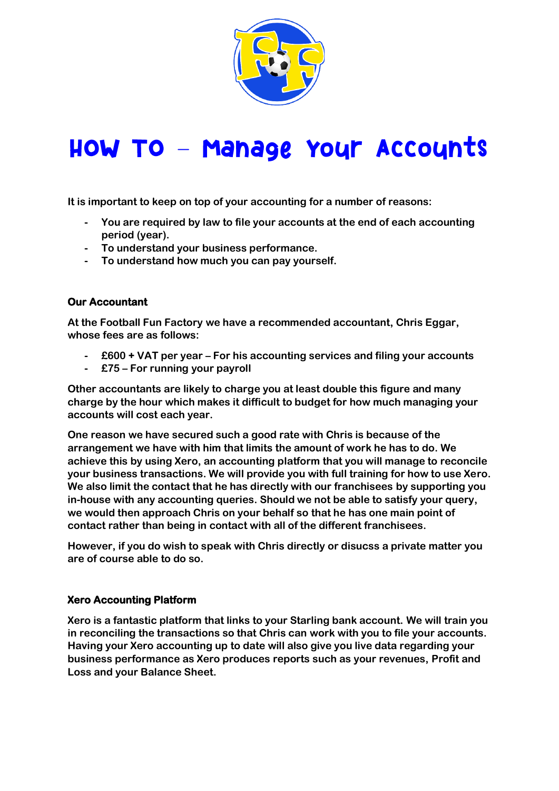

# HOW TO - Mahage Your Accounts

**It is important to keep on top of your accounting for a number of reasons:**

- **- You are required by law to file your accounts at the end of each accounting period (year).**
- **- To understand your business performance.**
- **- To understand how much you can pay yourself.**

# **Our Accountant**

**At the Football Fun Factory we have a recommended accountant, Chris Eggar, whose fees are as follows:**

- **- £600 + VAT per year – For his accounting services and filing your accounts**
- **- £75 – For running your payroll**

**Other accountants are likely to charge you at least double this figure and many charge by the hour which makes it difficult to budget for how much managing your accounts will cost each year.**

**One reason we have secured such a good rate with Chris is because of the arrangement we have with him that limits the amount of work he has to do. We achieve this by using Xero, an accounting platform that you will manage to reconcile your business transactions. We will provide you with full training for how to use Xero. We also limit the contact that he has directly with our franchisees by supporting you in-house with any accounting queries. Should we not be able to satisfy your query, we would then approach Chris on your behalf so that he has one main point of contact rather than being in contact with all of the different franchisees.**

**However, if you do wish to speak with Chris directly or disucss a private matter you are of course able to do so.**

#### **Xero Accounting Platform**

**Xero is a fantastic platform that links to your Starling bank account. We will train you in reconciling the transactions so that Chris can work with you to file your accounts. Having your Xero accounting up to date will also give you live data regarding your business performance as Xero produces reports such as your revenues, Profit and Loss and your Balance Sheet.**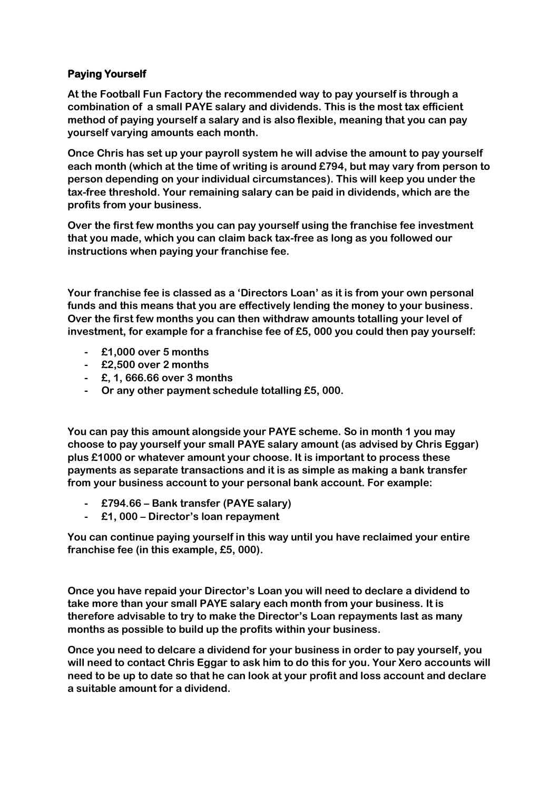# **Paying Yourself**

**At the Football Fun Factory the recommended way to pay yourself is through a combination of a small PAYE salary and dividends. This is the most tax efficient method of paying yourself a salary and is also flexible, meaning that you can pay yourself varying amounts each month.**

**Once Chris has set up your payroll system he will advise the amount to pay yourself each month (which at the time of writing is around £794, but may vary from person to person depending on your individual circumstances). This will keep you under the tax-free threshold. Your remaining salary can be paid in dividends, which are the profits from your business.**

**Over the first few months you can pay yourself using the franchise fee investment that you made, which you can claim back tax-free as long as you followed our instructions when paying your franchise fee.**

**Your franchise fee is classed as a 'Directors Loan' as it is from your own personal funds and this means that you are effectively lending the money to your business. Over the first few months you can then withdraw amounts totalling your level of investment, for example for a franchise fee of £5, 000 you could then pay yourself:**

- **- £1,000 over 5 months**
- **- £2,500 over 2 months**
- **- £, 1, 666.66 over 3 months**
- **- Or any other payment schedule totalling £5, 000.**

**You can pay this amount alongside your PAYE scheme. So in month 1 you may choose to pay yourself your small PAYE salary amount (as advised by Chris Eggar) plus £1000 or whatever amount your choose. It is important to process these payments as separate transactions and it is as simple as making a bank transfer from your business account to your personal bank account. For example:**

- **- £794.66 – Bank transfer (PAYE salary)**
- **- £1, 000 – Director's loan repayment**

**You can continue paying yourself in this way until you have reclaimed your entire franchise fee (in this example, £5, 000).**

**Once you have repaid your Director's Loan you will need to declare a dividend to take more than your small PAYE salary each month from your business. It is therefore advisable to try to make the Director's Loan repayments last as many months as possible to build up the profits within your business.** 

**Once you need to delcare a dividend for your business in order to pay yourself, you will need to contact Chris Eggar to ask him to do this for you. Your Xero accounts will need to be up to date so that he can look at your profit and loss account and declare a suitable amount for a dividend.**